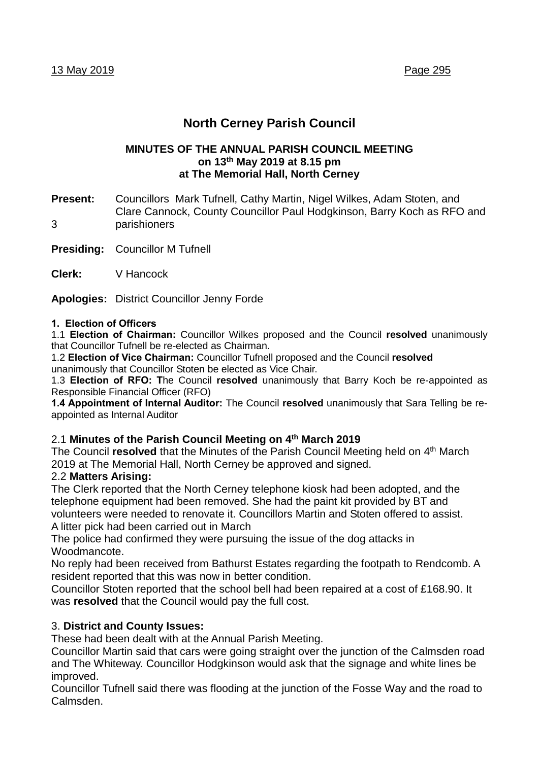# **North Cerney Parish Council**

#### **MINUTES OF THE ANNUAL PARISH COUNCIL MEETING on 13 th May 2019 at 8.15 pm at The Memorial Hall, North Cerney**

- **Present:** Councillors Mark Tufnell, Cathy Martin, Nigel Wilkes, Adam Stoten, and Clare Cannock, County Councillor Paul Hodgkinson, Barry Koch as RFO and 3 parishioners
- **Presiding:** Councillor M Tufnell
- **Clerk:** V Hancock

**Apologies:** District Councillor Jenny Forde

#### **1. Election of Officers**

1.1 **Election of Chairman:** Councillor Wilkes proposed and the Council **resolved** unanimously that Councillor Tufnell be re-elected as Chairman.

1.2 **Election of Vice Chairman:** Councillor Tufnell proposed and the Council **resolved** unanimously that Councillor Stoten be elected as Vice Chair.

1.3 **Election of RFO: T**he Council **resolved** unanimously that Barry Koch be re-appointed as Responsible Financial Officer (RFO)

**1.4 Appointment of Internal Auditor:** The Council **resolved** unanimously that Sara Telling be reappointed as Internal Auditor

## 2.1 **Minutes of the Parish Council Meeting on 4 th March 2019**

The Council resolved that the Minutes of the Parish Council Meeting held on 4<sup>th</sup> March 2019 at The Memorial Hall, North Cerney be approved and signed.

## 2.2 **Matters Arising:**

The Clerk reported that the North Cerney telephone kiosk had been adopted, and the telephone equipment had been removed. She had the paint kit provided by BT and volunteers were needed to renovate it. Councillors Martin and Stoten offered to assist. A litter pick had been carried out in March

The police had confirmed they were pursuing the issue of the dog attacks in **Woodmancote** 

No reply had been received from Bathurst Estates regarding the footpath to Rendcomb. A resident reported that this was now in better condition.

Councillor Stoten reported that the school bell had been repaired at a cost of £168.90. It was **resolved** that the Council would pay the full cost.

## 3. **District and County Issues:**

These had been dealt with at the Annual Parish Meeting.

Councillor Martin said that cars were going straight over the junction of the Calmsden road and The Whiteway. Councillor Hodgkinson would ask that the signage and white lines be improved.

Councillor Tufnell said there was flooding at the junction of the Fosse Way and the road to Calmsden.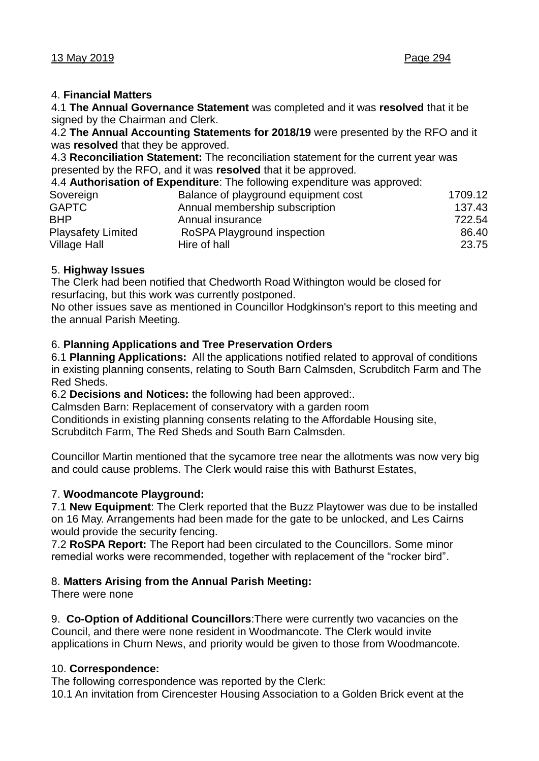## 4. **Financial Matters**

4.1 **The Annual Governance Statement** was completed and it was **resolved** that it be signed by the Chairman and Clerk.

4.2 **The Annual Accounting Statements for 2018/19** were presented by the RFO and it was **resolved** that they be approved.

4.3 **Reconciliation Statement:** The reconciliation statement for the current year was presented by the RFO, and it was **resolved** that it be approved*.* 

4.4 **Authorisation of Expenditure**: The following expenditure was approved:

| Sovereign                 | Balance of playground equipment cost | 1709.12 |
|---------------------------|--------------------------------------|---------|
| <b>GAPTC</b>              | Annual membership subscription       | 137.43  |
| <b>BHP</b>                | Annual insurance                     | 722.54  |
| <b>Playsafety Limited</b> | RoSPA Playground inspection          | 86.40   |
| <b>Village Hall</b>       | Hire of hall                         | 23.75   |
|                           |                                      |         |

## 5. **Highway Issues**

The Clerk had been notified that Chedworth Road Withington would be closed for resurfacing, but this work was currently postponed.

No other issues save as mentioned in Councillor Hodgkinson's report to this meeting and the annual Parish Meeting.

## 6. **Planning Applications and Tree Preservation Orders**

6.1 **Planning Applications:** All the applications notified related to approval of conditions in existing planning consents, relating to South Barn Calmsden, Scrubditch Farm and The Red Sheds.

6.2 **Decisions and Notices:** the following had been approved:.

Calmsden Barn: Replacement of conservatory with a garden room

Conditionds in existing planning consents relating to the Affordable Housing site,

Scrubditch Farm, The Red Sheds and South Barn Calmsden.

Councillor Martin mentioned that the sycamore tree near the allotments was now very big and could cause problems. The Clerk would raise this with Bathurst Estates,

## 7. **Woodmancote Playground:**

7.1 **New Equipment**: The Clerk reported that the Buzz Playtower was due to be installed on 16 May. Arrangements had been made for the gate to be unlocked, and Les Cairns would provide the security fencing.

7.2 **RoSPA Report:** The Report had been circulated to the Councillors. Some minor remedial works were recommended, together with replacement of the "rocker bird".

# 8. **Matters Arising from the Annual Parish Meeting:**

There were none

9. **Co-Option of Additional Councillors**:There were currently two vacancies on the Council, and there were none resident in Woodmancote. The Clerk would invite applications in Churn News, and priority would be given to those from Woodmancote.

# 10. **Correspondence:**

The following correspondence was reported by the Clerk:

10.1 An invitation from Cirencester Housing Association to a Golden Brick event at the